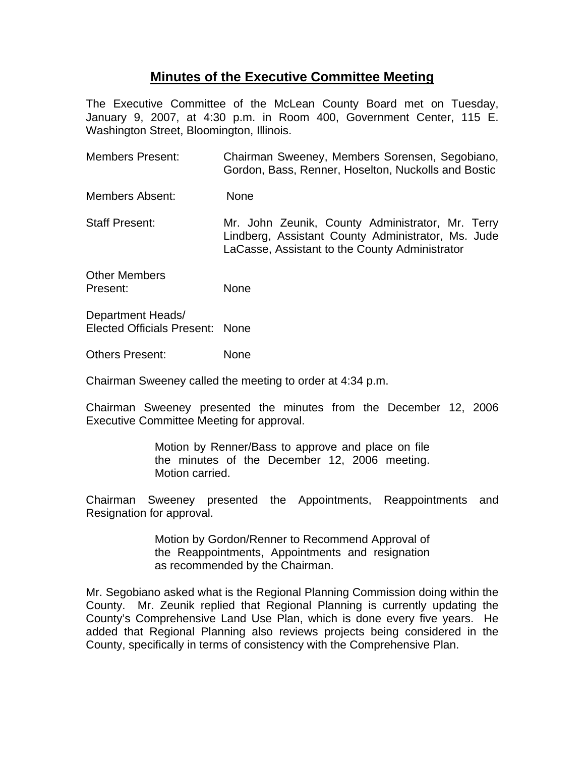## **Minutes of the Executive Committee Meeting**

The Executive Committee of the McLean County Board met on Tuesday, January 9, 2007, at 4:30 p.m. in Room 400, Government Center, 115 E. Washington Street, Bloomington, Illinois.

- Members Present: Chairman Sweeney, Members Sorensen, Segobiano, Gordon, Bass, Renner, Hoselton, Nuckolls and Bostic
- Members Absent: None
- Staff Present: Mr. John Zeunik, County Administrator, Mr. Terry Lindberg, Assistant County Administrator, Ms. Jude LaCasse, Assistant to the County Administrator

Other Members Present: None

Department Heads/ Elected Officials Present: None

Others Present: None

Chairman Sweeney called the meeting to order at 4:34 p.m.

Chairman Sweeney presented the minutes from the December 12, 2006 Executive Committee Meeting for approval.

> Motion by Renner/Bass to approve and place on file the minutes of the December 12, 2006 meeting. Motion carried.

Chairman Sweeney presented the Appointments, Reappointments and Resignation for approval.

> Motion by Gordon/Renner to Recommend Approval of the Reappointments, Appointments and resignation as recommended by the Chairman.

Mr. Segobiano asked what is the Regional Planning Commission doing within the County. Mr. Zeunik replied that Regional Planning is currently updating the County's Comprehensive Land Use Plan, which is done every five years. He added that Regional Planning also reviews projects being considered in the County, specifically in terms of consistency with the Comprehensive Plan.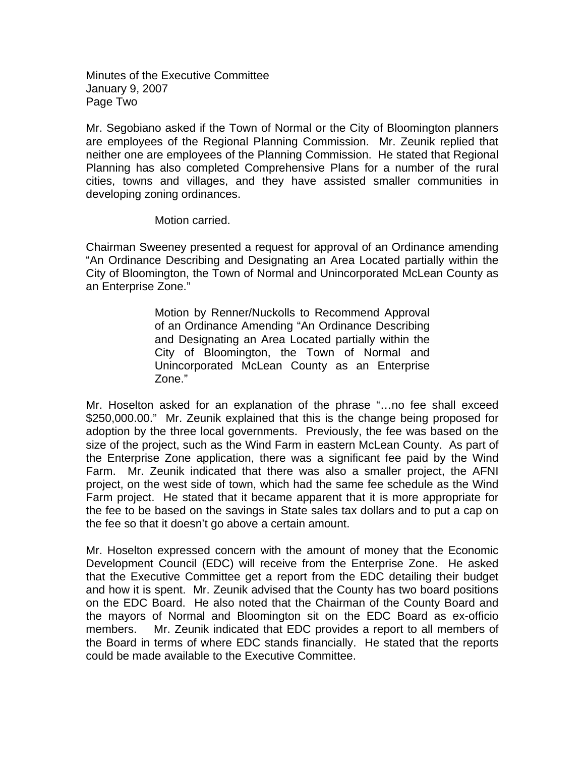Minutes of the Executive Committee January 9, 2007 Page Two

Mr. Segobiano asked if the Town of Normal or the City of Bloomington planners are employees of the Regional Planning Commission. Mr. Zeunik replied that neither one are employees of the Planning Commission. He stated that Regional Planning has also completed Comprehensive Plans for a number of the rural cities, towns and villages, and they have assisted smaller communities in developing zoning ordinances.

Motion carried.

Chairman Sweeney presented a request for approval of an Ordinance amending "An Ordinance Describing and Designating an Area Located partially within the City of Bloomington, the Town of Normal and Unincorporated McLean County as an Enterprise Zone."

> Motion by Renner/Nuckolls to Recommend Approval of an Ordinance Amending "An Ordinance Describing and Designating an Area Located partially within the City of Bloomington, the Town of Normal and Unincorporated McLean County as an Enterprise Zone."

Mr. Hoselton asked for an explanation of the phrase "…no fee shall exceed \$250,000.00." Mr. Zeunik explained that this is the change being proposed for adoption by the three local governments. Previously, the fee was based on the size of the project, such as the Wind Farm in eastern McLean County. As part of the Enterprise Zone application, there was a significant fee paid by the Wind Farm. Mr. Zeunik indicated that there was also a smaller project, the AFNI project, on the west side of town, which had the same fee schedule as the Wind Farm project. He stated that it became apparent that it is more appropriate for the fee to be based on the savings in State sales tax dollars and to put a cap on the fee so that it doesn't go above a certain amount.

Mr. Hoselton expressed concern with the amount of money that the Economic Development Council (EDC) will receive from the Enterprise Zone. He asked that the Executive Committee get a report from the EDC detailing their budget and how it is spent. Mr. Zeunik advised that the County has two board positions on the EDC Board. He also noted that the Chairman of the County Board and the mayors of Normal and Bloomington sit on the EDC Board as ex-officio members. Mr. Zeunik indicated that EDC provides a report to all members of the Board in terms of where EDC stands financially. He stated that the reports could be made available to the Executive Committee.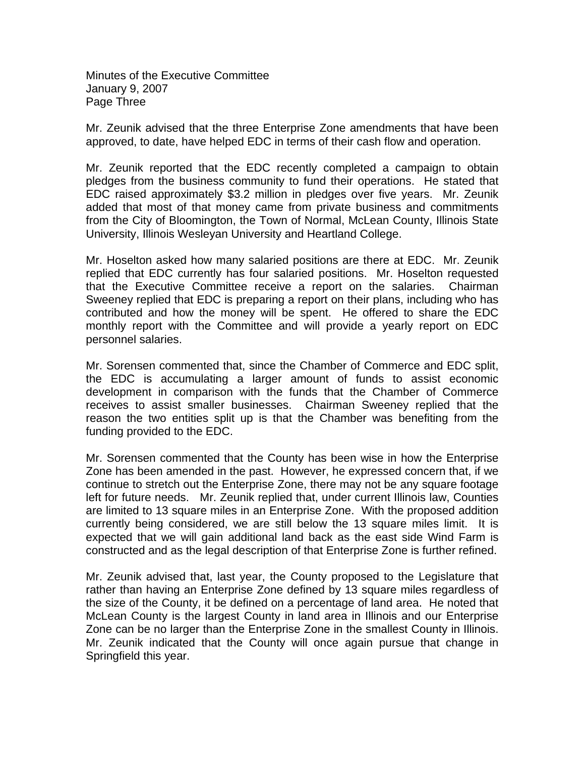Minutes of the Executive Committee January 9, 2007 Page Three

Mr. Zeunik advised that the three Enterprise Zone amendments that have been approved, to date, have helped EDC in terms of their cash flow and operation.

Mr. Zeunik reported that the EDC recently completed a campaign to obtain pledges from the business community to fund their operations. He stated that EDC raised approximately \$3.2 million in pledges over five years. Mr. Zeunik added that most of that money came from private business and commitments from the City of Bloomington, the Town of Normal, McLean County, Illinois State University, Illinois Wesleyan University and Heartland College.

Mr. Hoselton asked how many salaried positions are there at EDC. Mr. Zeunik replied that EDC currently has four salaried positions. Mr. Hoselton requested that the Executive Committee receive a report on the salaries. Chairman Sweeney replied that EDC is preparing a report on their plans, including who has contributed and how the money will be spent. He offered to share the EDC monthly report with the Committee and will provide a yearly report on EDC personnel salaries.

Mr. Sorensen commented that, since the Chamber of Commerce and EDC split, the EDC is accumulating a larger amount of funds to assist economic development in comparison with the funds that the Chamber of Commerce receives to assist smaller businesses. Chairman Sweeney replied that the reason the two entities split up is that the Chamber was benefiting from the funding provided to the EDC.

Mr. Sorensen commented that the County has been wise in how the Enterprise Zone has been amended in the past. However, he expressed concern that, if we continue to stretch out the Enterprise Zone, there may not be any square footage left for future needs. Mr. Zeunik replied that, under current Illinois law, Counties are limited to 13 square miles in an Enterprise Zone. With the proposed addition currently being considered, we are still below the 13 square miles limit. It is expected that we will gain additional land back as the east side Wind Farm is constructed and as the legal description of that Enterprise Zone is further refined.

Mr. Zeunik advised that, last year, the County proposed to the Legislature that rather than having an Enterprise Zone defined by 13 square miles regardless of the size of the County, it be defined on a percentage of land area. He noted that McLean County is the largest County in land area in Illinois and our Enterprise Zone can be no larger than the Enterprise Zone in the smallest County in Illinois. Mr. Zeunik indicated that the County will once again pursue that change in Springfield this year.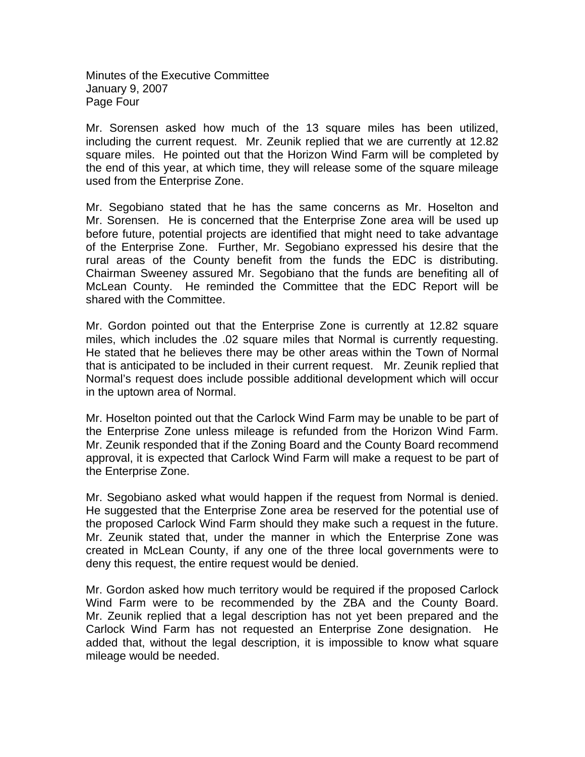Minutes of the Executive Committee January 9, 2007 Page Four

Mr. Sorensen asked how much of the 13 square miles has been utilized, including the current request. Mr. Zeunik replied that we are currently at 12.82 square miles. He pointed out that the Horizon Wind Farm will be completed by the end of this year, at which time, they will release some of the square mileage used from the Enterprise Zone.

Mr. Segobiano stated that he has the same concerns as Mr. Hoselton and Mr. Sorensen. He is concerned that the Enterprise Zone area will be used up before future, potential projects are identified that might need to take advantage of the Enterprise Zone. Further, Mr. Segobiano expressed his desire that the rural areas of the County benefit from the funds the EDC is distributing. Chairman Sweeney assured Mr. Segobiano that the funds are benefiting all of McLean County. He reminded the Committee that the EDC Report will be shared with the Committee.

Mr. Gordon pointed out that the Enterprise Zone is currently at 12.82 square miles, which includes the .02 square miles that Normal is currently requesting. He stated that he believes there may be other areas within the Town of Normal that is anticipated to be included in their current request. Mr. Zeunik replied that Normal's request does include possible additional development which will occur in the uptown area of Normal.

Mr. Hoselton pointed out that the Carlock Wind Farm may be unable to be part of the Enterprise Zone unless mileage is refunded from the Horizon Wind Farm. Mr. Zeunik responded that if the Zoning Board and the County Board recommend approval, it is expected that Carlock Wind Farm will make a request to be part of the Enterprise Zone.

Mr. Segobiano asked what would happen if the request from Normal is denied. He suggested that the Enterprise Zone area be reserved for the potential use of the proposed Carlock Wind Farm should they make such a request in the future. Mr. Zeunik stated that, under the manner in which the Enterprise Zone was created in McLean County, if any one of the three local governments were to deny this request, the entire request would be denied.

Mr. Gordon asked how much territory would be required if the proposed Carlock Wind Farm were to be recommended by the ZBA and the County Board. Mr. Zeunik replied that a legal description has not yet been prepared and the Carlock Wind Farm has not requested an Enterprise Zone designation. He added that, without the legal description, it is impossible to know what square mileage would be needed.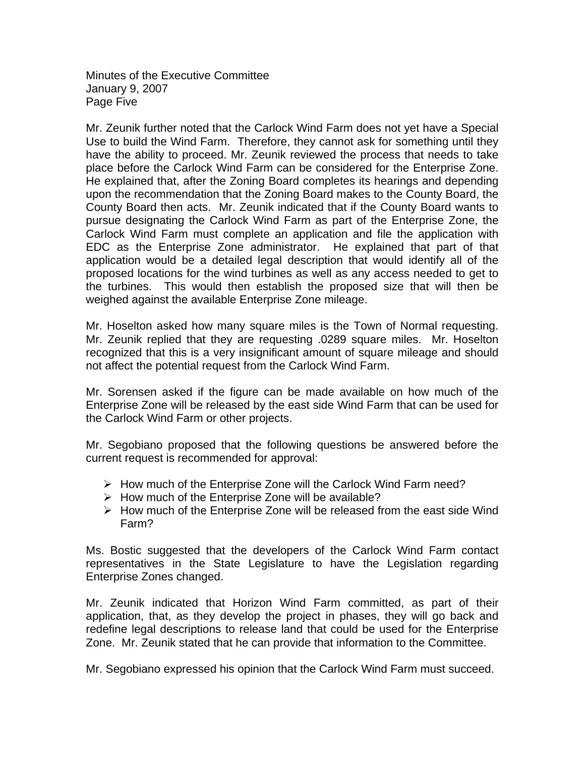Minutes of the Executive Committee January 9, 2007 Page Five

Mr. Zeunik further noted that the Carlock Wind Farm does not yet have a Special Use to build the Wind Farm. Therefore, they cannot ask for something until they have the ability to proceed. Mr. Zeunik reviewed the process that needs to take place before the Carlock Wind Farm can be considered for the Enterprise Zone. He explained that, after the Zoning Board completes its hearings and depending upon the recommendation that the Zoning Board makes to the County Board, the County Board then acts. Mr. Zeunik indicated that if the County Board wants to pursue designating the Carlock Wind Farm as part of the Enterprise Zone, the Carlock Wind Farm must complete an application and file the application with EDC as the Enterprise Zone administrator. He explained that part of that application would be a detailed legal description that would identify all of the proposed locations for the wind turbines as well as any access needed to get to the turbines. This would then establish the proposed size that will then be weighed against the available Enterprise Zone mileage.

Mr. Hoselton asked how many square miles is the Town of Normal requesting. Mr. Zeunik replied that they are requesting .0289 square miles. Mr. Hoselton recognized that this is a very insignificant amount of square mileage and should not affect the potential request from the Carlock Wind Farm.

Mr. Sorensen asked if the figure can be made available on how much of the Enterprise Zone will be released by the east side Wind Farm that can be used for the Carlock Wind Farm or other projects.

Mr. Segobiano proposed that the following questions be answered before the current request is recommended for approval:

- $\triangleright$  How much of the Enterprise Zone will the Carlock Wind Farm need?
- $\triangleright$  How much of the Enterprise Zone will be available?
- $\triangleright$  How much of the Enterprise Zone will be released from the east side Wind Farm?

Ms. Bostic suggested that the developers of the Carlock Wind Farm contact representatives in the State Legislature to have the Legislation regarding Enterprise Zones changed.

Mr. Zeunik indicated that Horizon Wind Farm committed, as part of their application, that, as they develop the project in phases, they will go back and redefine legal descriptions to release land that could be used for the Enterprise Zone. Mr. Zeunik stated that he can provide that information to the Committee.

Mr. Segobiano expressed his opinion that the Carlock Wind Farm must succeed.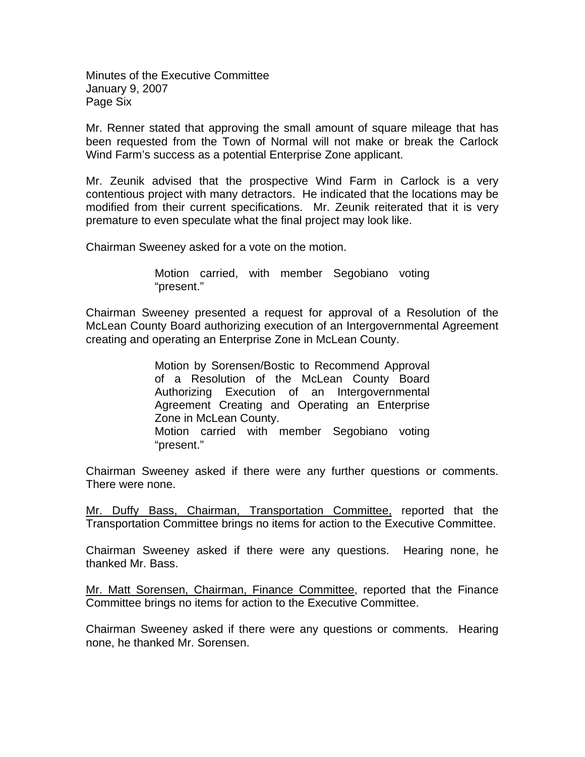Minutes of the Executive Committee January 9, 2007 Page Six

Mr. Renner stated that approving the small amount of square mileage that has been requested from the Town of Normal will not make or break the Carlock Wind Farm's success as a potential Enterprise Zone applicant.

Mr. Zeunik advised that the prospective Wind Farm in Carlock is a very contentious project with many detractors. He indicated that the locations may be modified from their current specifications. Mr. Zeunik reiterated that it is very premature to even speculate what the final project may look like.

Chairman Sweeney asked for a vote on the motion.

Motion carried, with member Segobiano voting "present."

Chairman Sweeney presented a request for approval of a Resolution of the McLean County Board authorizing execution of an Intergovernmental Agreement creating and operating an Enterprise Zone in McLean County.

> Motion by Sorensen/Bostic to Recommend Approval of a Resolution of the McLean County Board Authorizing Execution of an Intergovernmental Agreement Creating and Operating an Enterprise Zone in McLean County. Motion carried with member Segobiano voting "present."

Chairman Sweeney asked if there were any further questions or comments. There were none.

Mr. Duffy Bass, Chairman, Transportation Committee, reported that the Transportation Committee brings no items for action to the Executive Committee.

Chairman Sweeney asked if there were any questions. Hearing none, he thanked Mr. Bass.

Mr. Matt Sorensen, Chairman, Finance Committee, reported that the Finance Committee brings no items for action to the Executive Committee.

Chairman Sweeney asked if there were any questions or comments. Hearing none, he thanked Mr. Sorensen.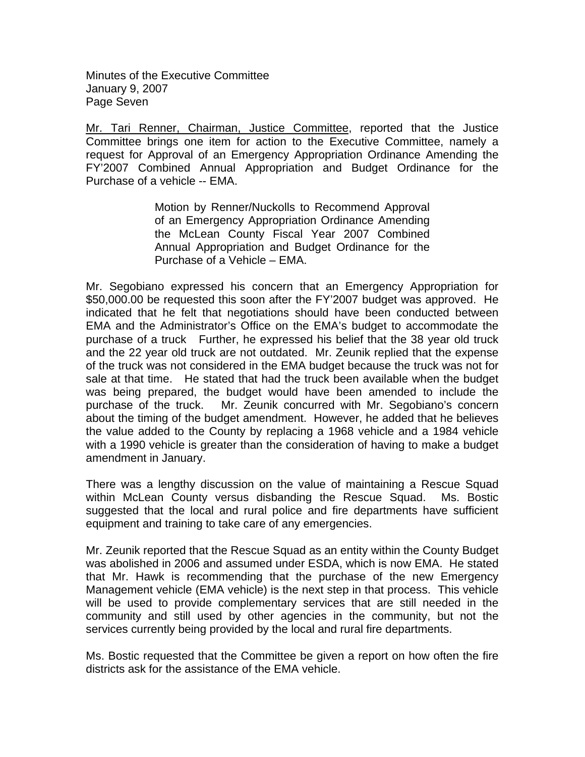Minutes of the Executive Committee January 9, 2007 Page Seven

Mr. Tari Renner, Chairman, Justice Committee, reported that the Justice Committee brings one item for action to the Executive Committee, namely a request for Approval of an Emergency Appropriation Ordinance Amending the FY'2007 Combined Annual Appropriation and Budget Ordinance for the Purchase of a vehicle -- EMA.

> Motion by Renner/Nuckolls to Recommend Approval of an Emergency Appropriation Ordinance Amending the McLean County Fiscal Year 2007 Combined Annual Appropriation and Budget Ordinance for the Purchase of a Vehicle – EMA.

Mr. Segobiano expressed his concern that an Emergency Appropriation for \$50,000.00 be requested this soon after the FY'2007 budget was approved. He indicated that he felt that negotiations should have been conducted between EMA and the Administrator's Office on the EMA's budget to accommodate the purchase of a truck Further, he expressed his belief that the 38 year old truck and the 22 year old truck are not outdated. Mr. Zeunik replied that the expense of the truck was not considered in the EMA budget because the truck was not for sale at that time. He stated that had the truck been available when the budget was being prepared, the budget would have been amended to include the purchase of the truck. Mr. Zeunik concurred with Mr. Segobiano's concern about the timing of the budget amendment. However, he added that he believes the value added to the County by replacing a 1968 vehicle and a 1984 vehicle with a 1990 vehicle is greater than the consideration of having to make a budget amendment in January.

There was a lengthy discussion on the value of maintaining a Rescue Squad within McLean County versus disbanding the Rescue Squad. Ms. Bostic suggested that the local and rural police and fire departments have sufficient equipment and training to take care of any emergencies.

Mr. Zeunik reported that the Rescue Squad as an entity within the County Budget was abolished in 2006 and assumed under ESDA, which is now EMA. He stated that Mr. Hawk is recommending that the purchase of the new Emergency Management vehicle (EMA vehicle) is the next step in that process. This vehicle will be used to provide complementary services that are still needed in the community and still used by other agencies in the community, but not the services currently being provided by the local and rural fire departments.

Ms. Bostic requested that the Committee be given a report on how often the fire districts ask for the assistance of the EMA vehicle.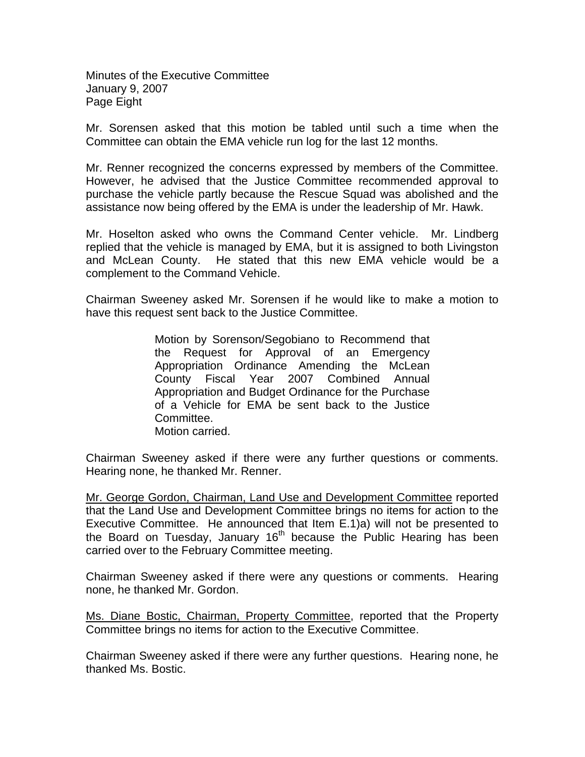Minutes of the Executive Committee January 9, 2007 Page Eight

Mr. Sorensen asked that this motion be tabled until such a time when the Committee can obtain the EMA vehicle run log for the last 12 months.

Mr. Renner recognized the concerns expressed by members of the Committee. However, he advised that the Justice Committee recommended approval to purchase the vehicle partly because the Rescue Squad was abolished and the assistance now being offered by the EMA is under the leadership of Mr. Hawk.

Mr. Hoselton asked who owns the Command Center vehicle. Mr. Lindberg replied that the vehicle is managed by EMA, but it is assigned to both Livingston and McLean County. He stated that this new EMA vehicle would be a complement to the Command Vehicle.

Chairman Sweeney asked Mr. Sorensen if he would like to make a motion to have this request sent back to the Justice Committee.

> Motion by Sorenson/Segobiano to Recommend that the Request for Approval of an Emergency Appropriation Ordinance Amending the McLean County Fiscal Year 2007 Combined Annual Appropriation and Budget Ordinance for the Purchase of a Vehicle for EMA be sent back to the Justice Committee. Motion carried.

Chairman Sweeney asked if there were any further questions or comments. Hearing none, he thanked Mr. Renner.

Mr. George Gordon, Chairman, Land Use and Development Committee reported that the Land Use and Development Committee brings no items for action to the Executive Committee. He announced that Item E.1)a) will not be presented to the Board on Tuesday, January  $16<sup>th</sup>$  because the Public Hearing has been carried over to the February Committee meeting.

Chairman Sweeney asked if there were any questions or comments. Hearing none, he thanked Mr. Gordon.

Ms. Diane Bostic, Chairman, Property Committee, reported that the Property Committee brings no items for action to the Executive Committee.

Chairman Sweeney asked if there were any further questions. Hearing none, he thanked Ms. Bostic.